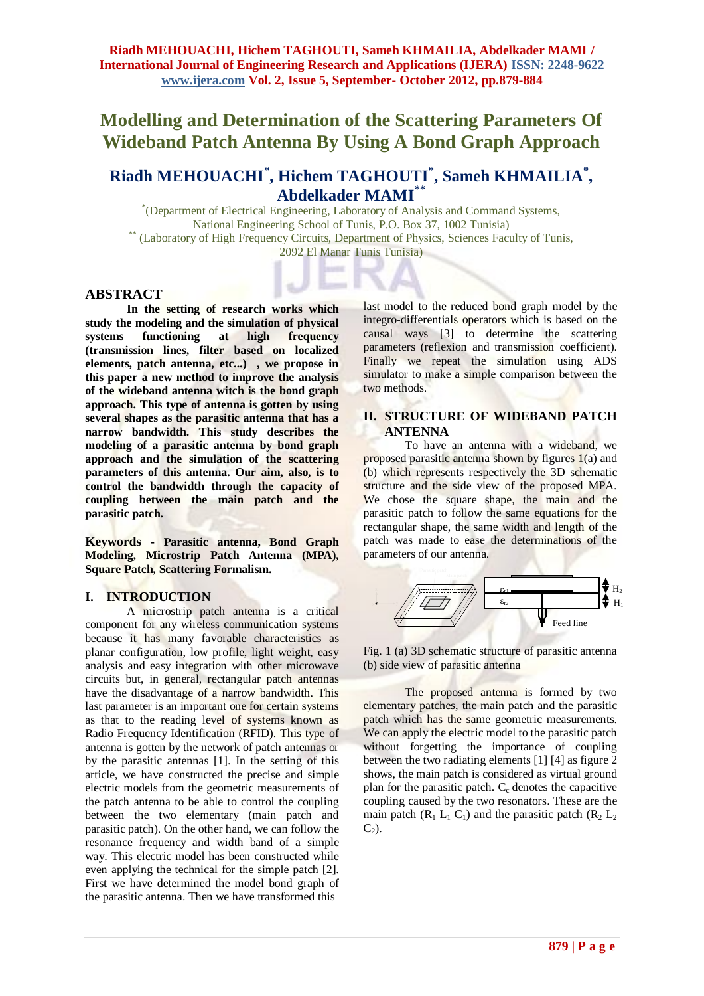# **Modelling and Determination of the Scattering Parameters Of Wideband Patch Antenna By Using A Bond Graph Approach**

# **Riadh MEHOUACHI\* , Hichem TAGHOUTI\* , Sameh KHMAILIA\* , Abdelkader MAMI\*\***

\* (Department of Electrical Engineering, Laboratory of Analysis and Command Systems, National Engineering School of Tunis, P.O. Box 37, 1002 Tunisia) \*\* (Laboratory of High Frequency Circuits, Department of Physics, Sciences Faculty of Tunis, 2092 El Manar Tunis Tunisia)

## **ABSTRACT**

**In the setting of research works which study the modeling and the simulation of physical**  systems functioning at high **(transmission lines, filter based on localized elements, patch antenna, etc...) , we propose in this paper a new method to improve the analysis of the wideband antenna witch is the bond graph approach. This type of antenna is gotten by using several shapes as the parasitic antenna that has a narrow bandwidth. This study describes the modeling of a parasitic antenna by bond graph approach and the simulation of the scattering parameters of this antenna. Our aim, also, is to control the bandwidth through the capacity of coupling between the main patch and the parasitic patch.**

**Keywords - Parasitic antenna, Bond Graph Modeling, Microstrip Patch Antenna (MPA), Square Patch, Scattering Formalism.**

#### **I. INTRODUCTION**

A microstrip patch antenna is a critical component for any wireless communication systems because it has many favorable characteristics as planar configuration, low profile, light weight, easy analysis and easy integration with other microwave circuits but, in general, rectangular patch antennas have the disadvantage of a narrow bandwidth. This last parameter is an important one for certain systems as that to the reading level of systems known as Radio Frequency Identification (RFID). This type of antenna is gotten by the network of patch antennas or by the parasitic antennas [1]. In the setting of this article, we have constructed the precise and simple electric models from the geometric measurements of the patch antenna to be able to control the coupling between the two elementary (main patch and parasitic patch). On the other hand, we can follow the resonance frequency and width band of a simple way. This electric model has been constructed while even applying the technical for the simple patch [2]. First we have determined the model bond graph of the parasitic antenna. Then we have transformed this

last model to the reduced bond graph model by the integro-differentials operators which is based on the causal ways [3] to determine the scattering parameters (reflexion and transmission coefficient). Finally we repeat the simulation using ADS simulator to make a simple comparison between the two methods.

# **II. STRUCTURE OF WIDEBAND PATCH ANTENNA**

To have an antenna with a wideband, we proposed parasitic antenna shown by figures 1(a) and (b) which represents respectively the 3D schematic structure and the side view of the proposed MPA. We chose the square shape, the main and the parasitic patch to follow the same equations for the rectangular shape, the same width and length of the patch was made to ease the determinations of the parameters of our antenna.



Fig. 1 (a) 3D schematic structure of parasitic antenna (b) side view of parasitic antenna

The proposed antenna is formed by two elementary patches, the main patch and the parasitic patch which has the same geometric measurements. We can apply the electric model to the parasitic patch without forgetting the importance of coupling between the two radiating elements [1] [4] as figure 2 shows, the main patch is considered as virtual ground plan for the parasitic patch.  $C_c$  denotes the capacitive coupling caused by the two resonators. These are the main patch  $(R_1 L_1 C_1)$  and the parasitic patch  $(R_2 L_2)$  $C<sub>2</sub>$ ).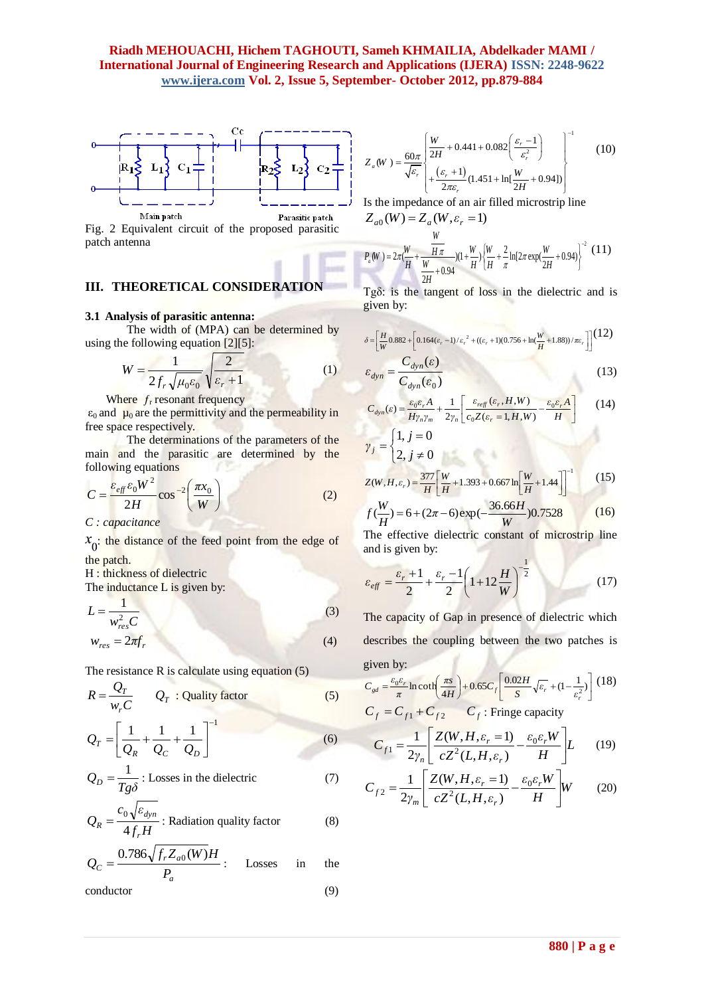

Fig. 2 Equivalent circuit of the proposed parasitic patch antenna

# **III. THEORETICAL CONSIDERATION**

#### **3.1 Analysis of parasitic antenna:**

The width of (MPA) can be determined by using the following equation  $[2][5]$ :

$$
W = \frac{1}{2f_r\sqrt{\mu_0\varepsilon_0}}\sqrt{\frac{2}{\varepsilon_r + 1}}
$$
 (1)

Where  $f_r$  resonant frequency

 $\varepsilon_0$  and  $\mu_0$  are the permittivity and the permeability in free space respectively.

The determinations of the parameters of the main and the parasitic are determined by the following equations

$$
C = \frac{\varepsilon_{\text{eff}} \varepsilon_0 W^2}{2H} \cos^{-2} \left( \frac{\pi x_0}{W} \right) \tag{2}
$$

*C : capacitance*

 $x_0$ : the distance of the feed point from the edge of the patch.

H : thickness of dielectric

The inductance L is given by:

$$
L = \frac{1}{w_{res}^2 C}
$$
  
\n
$$
w_{res} = 2\pi f_r
$$
\n(3)

The resistance 
$$
R
$$
 is calculate using equation (5).

$$
R = \frac{Q_T}{w_r C} \qquad Q_T : \text{Quality factor} \tag{5}
$$

$$
Q_T = \left[ \frac{1}{Q_R} + \frac{1}{Q_C} + \frac{1}{Q_D} \right]^{-1}
$$
 (6)

$$
Q_D = \frac{1}{Tg\delta}
$$
: Losses in the dielectric (7)

$$
Q_R = \frac{c_0 \sqrt{\varepsilon_{dyn}}}{4f_r H}
$$
: Radiation quality factor (8)

$$
Q_C = \frac{0.786\sqrt{f_r Z_{a0}(W)}H}{P_a}
$$
: Losses in the

conductor (9)

$$
Z_a(W) = \frac{60\pi}{\sqrt{\varepsilon_r}} \begin{bmatrix} \frac{W}{2H} + 0.441 + 0.082 \left( \frac{\varepsilon_r - 1}{\varepsilon_r^2} \right) \\ + \frac{(\varepsilon_r + 1)}{2\pi\varepsilon_r} (1.451 + \ln[\frac{W}{2H} + 0.94]) \end{bmatrix}^{-1}
$$
(10)

Is the impedance of an air filled microstrip line  $Z_{a0}(W) = Z_a(W, \varepsilon_r = 1)$ 

$$
P_a(W) = 2\pi \frac{W}{H} + \frac{W}{W + 0.94} \left[ (1 + \frac{W}{H}) \left( \frac{W}{H} + \frac{2}{\pi} \ln(2\pi \exp(\frac{W}{2H} + 0.94)) \right)^{-2} (11) \right]
$$

 $Tg\delta$ : is the tangent of loss in the dielectric and is given by:

$$
\delta = \left[ \frac{H}{W} 0.882 + \left[ 0.164(\varepsilon_r - 1)/\varepsilon_r^2 + ((\varepsilon_r + 1)(0.756 + \ln(\frac{W}{H} + 1.88))/\pi\varepsilon_r) \right] \right] (12)
$$
  

$$
\varepsilon_{dyn} = \frac{C_{dyn}(\varepsilon)}{\sigma}
$$
(13)

$$
E_{dyn} = \frac{E_{dyn}(E)}{C_{dyn}(E_0)}
$$
(13)

$$
C_{dyn}(\varepsilon) = \frac{\varepsilon_0 \varepsilon_r A}{H \gamma_n \gamma_m} + \frac{1}{2\gamma_n} \left[ \frac{\varepsilon_{ref}(\varepsilon_r, H, W)}{\varepsilon_0 Z(\varepsilon_r = 1, H, W)} - \frac{\varepsilon_0 \varepsilon_r A}{H} \right]
$$
(14)  

$$
\gamma_j = \begin{cases} 1, j = 0 \\ 2, j \neq 0 \end{cases}
$$

$$
Z(W, H, \varepsilon_r) = \frac{377}{H} \left[ \frac{W}{H} + 1.393 + 0.667 \ln \left[ \frac{W}{H} + 1.44 \right] \right]^{-1}
$$
 (15)

$$
f(\frac{W}{H}) = 6 + (2\pi - 6) \exp(-\frac{36.66H}{W}) 0.7528
$$
 (16)

The effective dielectric constant of microstrip line and is given by:

$$
\varepsilon_{\text{eff}} = \frac{\varepsilon_r + 1}{2} + \frac{\varepsilon_r - 1}{2} \left( 1 + 12 \frac{H}{W} \right)^{-\frac{1}{2}} \tag{17}
$$

The capacity of Gap in presence of dielectric which describes the coupling between the two patches is given by:

$$
C_{gd} = \frac{\varepsilon_0 \varepsilon_r}{\pi} \ln \coth\left(\frac{\pi s}{4H}\right) + 0.65 C_f \left[\frac{0.02H}{S} \sqrt{\varepsilon_r} + (1 - \frac{1}{\varepsilon_r^2})\right] (18)
$$
  

$$
C_f = C_{f1} + C_{f2} \qquad C_f : \text{Fringe capacity}
$$

$$
C_{f1} = \frac{1}{2\gamma_n} \left[ \frac{Z(W, H, \varepsilon_r = 1)}{cZ^2(L, H, \varepsilon_r)} - \frac{\varepsilon_0 \varepsilon_r W}{H} \right] L \tag{19}
$$

$$
C_{f2} = \frac{1}{2\gamma_m} \left[ \frac{Z(W, H, \varepsilon_r = 1)}{cZ^2(L, H, \varepsilon_r)} - \frac{\varepsilon_0 \varepsilon_r W}{H} \right] W \tag{20}
$$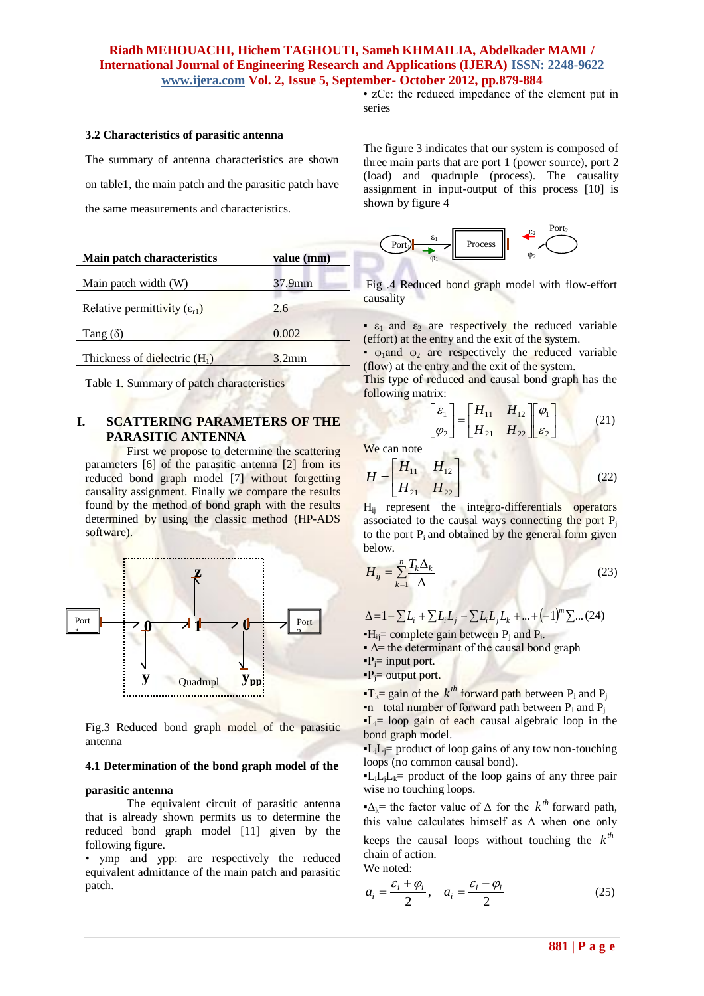• zCc: the reduced impedance of the element put in series

#### **3.2 Characteristics of parasitic antenna**

The summary of antenna characteristics are shown on table1, the main patch and the parasitic patch have

the same measurements and characteristics.

| <b>Main patch characteristics</b>       | value (mm)         |
|-----------------------------------------|--------------------|
| Main patch width (W)                    | 37.9 <sub>mm</sub> |
| Relative permittivity $(\epsilon_{r1})$ | 2.6                |
| Tang $(\delta)$                         | 0.002              |
| Thickness of dielectric $(H_1)$         | 3.2mm              |

Table 1. Summary of patch characteristics

# **I. SCATTERING PARAMETERS OF THE PARASITIC ANTENNA**

First we propose to determine the scattering parameters [6] of the parasitic antenna [2] from its reduced bond graph model [7] without forgetting causality assignment. Finally we compare the results found by the method of bond graph with the results determined by using the classic method (HP-ADS software).



Fig.3 Reduced bond graph model of the parasitic **p** antenna

#### **4.1 Determination of the bond graph model of the**

#### **parasitic antenna**

The equivalent circuit of parasitic antenna that is already shown permits us to determine the reduced bond graph model [11] given by the following figure.

• ymp and ypp: are respectively the reduced equivalent admittance of the main patch and parasitic patch.

The figure 3 indicates that our system is composed of three main parts that are port 1 (power source), port 2 (load) and quadruple (process). The causality assignment in input-output of this process [10] is shown by figure 4



Fig .4 Reduced bond graph model with flow-effort causality

 $\epsilon_1$  and  $\epsilon_2$  are respectively the reduced variable (effort) at the entry and the exit of the system.

 $·$  φ<sub>1</sub>and φ<sub>2</sub> are respectively the reduced variable (flow) at the entry and the exit of the system.

This type of reduced and causal bond graph has the following matrix:

$$
\begin{bmatrix} \varepsilon_1 \\ \varphi_2 \end{bmatrix} = \begin{bmatrix} H_{11} & H_{12} \\ H_{21} & H_{22} \end{bmatrix} \begin{bmatrix} \varphi_1 \\ \varepsilon_2 \end{bmatrix}
$$
 (21)

We can note

$$
H = \begin{bmatrix} H_{11} & H_{12} \\ H_{21} & H_{22} \end{bmatrix}
$$
 (22)

Hij represent the integro-differentials operators associated to the causal ways connecting the port  $P_i$ to the port  $P_i$  and obtained by the general form given below.

$$
H_{ij} = \sum_{k=1}^{n} \frac{T_k \Delta_k}{\Delta} \tag{23}
$$

 $\Delta = 1 - \sum L_i + \sum L_i L_j - \sum L_i L_j L_k + ... + (-1)^m \sum ... (24)$ 

 $\textbf{H}_{ij}$  complete gain between P<sub>j</sub> and P<sub>i</sub>.

 $\Delta$  = the determinant of the causal bond graph

 $\mathbf{P}_i$ = input port.

 $\mathbf{P}_i$ = output port.

 $\textbf{F}_k = \text{gain}$  of the  $k^{th}$  forward path between P<sub>i</sub> and P<sub>j</sub>  $\blacksquare$  n= total number of forward path between P<sub>i</sub> and P<sub>i</sub>  $\textbf{L}_i$ = loop gain of each causal algebraic loop in the bond graph model.

 $\mathbf{L}_i \mathbf{L}_i$  product of loop gains of any tow non-touching loops (no common causal bond).

 $\mathbf{L}_i L_i L_k$  product of the loop gains of any three pair wise no touching loops.

 $\Delta_k$ <sup>=</sup> the factor value of  $\Delta$  for the  $k^{th}$  forward path, this value calculates himself as  $\Delta$  when one only keeps the causal loops without touching the  $k^{th}$ chain of action.

We noted:

$$
a_i = \frac{\varepsilon_i + \varphi_i}{2}, \quad a_i = \frac{\varepsilon_i - \varphi_i}{2} \tag{25}
$$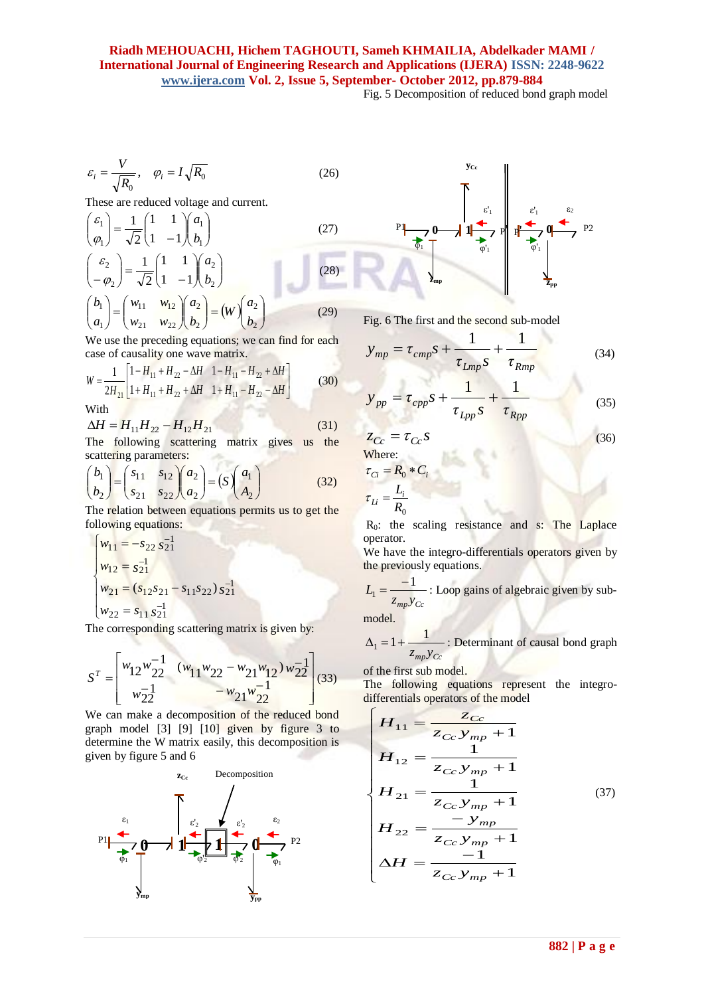Fig. 5 Decomposition of reduced bond graph model

$$
\varepsilon_i = \frac{V}{\sqrt{R_0}}, \quad \varphi_i = I \sqrt{R_0}
$$
\n(26)

These are reduced voltage and current.

$$
\begin{pmatrix} \varepsilon_1 \\ \varphi_1 \end{pmatrix} = \frac{1}{\sqrt{2}} \begin{pmatrix} 1 & 1 \\ 1 & -1 \end{pmatrix} \begin{pmatrix} a_1 \\ b_1 \end{pmatrix}
$$
\n(27)  
\n
$$
\begin{pmatrix} \varepsilon_2 \\ -\varphi_2 \end{pmatrix} = \frac{1}{\sqrt{2}} \begin{pmatrix} 1 & 1 \\ 1 & -1 \end{pmatrix} \begin{pmatrix} a_2 \\ b_2 \end{pmatrix}
$$
\n(28)  
\n
$$
\begin{pmatrix} b_1 \\ a_1 \end{pmatrix} = \begin{pmatrix} w_{11} & w_{12} \\ w_{21} & w_{22} \end{pmatrix} \begin{pmatrix} a_2 \\ b_2 \end{pmatrix} = (W) \begin{pmatrix} a_2 \\ b_2 \end{pmatrix}
$$
\n(29)

We use the preceding equations; we can find for each case of causality one wave matrix.

$$
W = \frac{1}{2H_{21}} \left[ 1 - H_{11} + H_{22} - \Delta H \quad 1 - H_{11} - H_{22} + \Delta H \right]
$$
  
(30)

With

 $\Delta$ 

$$
\Delta H = H_{11} H_{22} - H_{12} H_{21} \tag{31}
$$

The following scattering matrix gives us the scattering parameters:

$$
\binom{b_1}{b_2} = \binom{s_{11}}{s_{21}} \frac{s_{12}}{s_{22}} \binom{a_2}{a_2} = (S) \binom{a_1}{A_2} \tag{32}
$$

The relation between equations permits us to get the following equations:

$$
\begin{cases}\nw_{11} = -s_{22} s_{21}^{-1} \\
w_{12} = s_{21}^{-1} \\
w_{21} = (s_{12} s_{21} - s_{11} s_{22}) s_{21}^{-1} \\
w_{22} = s_{11} s_{21}^{-1}\n\end{cases}
$$

The corresponding scattering matrix is given by:

$$
S^{T} = \begin{bmatrix} w_{12}w_{22}^{-1} & (w_{11}w_{22} - w_{21}w_{12})w_{22}^{-1} \\ w_{22}^{-1} & -w_{21}w_{22}^{-1} \end{bmatrix} (33)
$$

We can make a decomposition of the reduced bond graph model [3] [9] [10] given by figure 3 to determine the W matrix easily, this decomposition is given by figure 5 and 6





Fig. 6 The first and the second sub-model

$$
y_{mp} = \tau_{cmp}S + \frac{1}{\tau_{Lmp}S} + \frac{1}{\tau_{Rmp}}
$$
 (34)

$$
y_{pp} = \tau_{cpp} s + \frac{1}{\tau_{Lpp} s} + \frac{1}{\tau_{Rpp}}
$$
(35)

$$
z_{Cc} = \tau_{Cc} s \tag{36}
$$

Where:  
\n
$$
\tau_{Ci} = R_0 * C_i
$$
\n
$$
\tau_{Li} = \frac{L_i}{R_0}
$$

 $R_0$ : the scaling resistance and s: The Laplace operator.

We have the integro-differentials operators given by the previously equations.

$$
L_1 = \frac{-1}{z_{mp}y_{Cc}}
$$
: Loop gains of algebraic given by sub-

model.

 $z_{mp}y_{Cr}$ 1  $\Delta_1 = 1 +$ : Determinant of causal bond graph

of the first sub model.

The following equations represent the integro-

differentials operators of the model  
\n
$$
H_{11} = \frac{z_{Cc}}{z_{Cc} y_{mp} + 1}
$$
\n
$$
H_{12} = \frac{1}{z_{Cc} y_{mp} + 1}
$$
\n
$$
H_{21} = \frac{1}{z_{Cc} y_{mp} + 1}
$$
\n
$$
H_{22} = \frac{-y_{mp}}{z_{Cc} y_{mp} + 1}
$$
\n
$$
H = \frac{-1}{z_{Cc} y_{mp} + 1}
$$
\n
$$
(37)
$$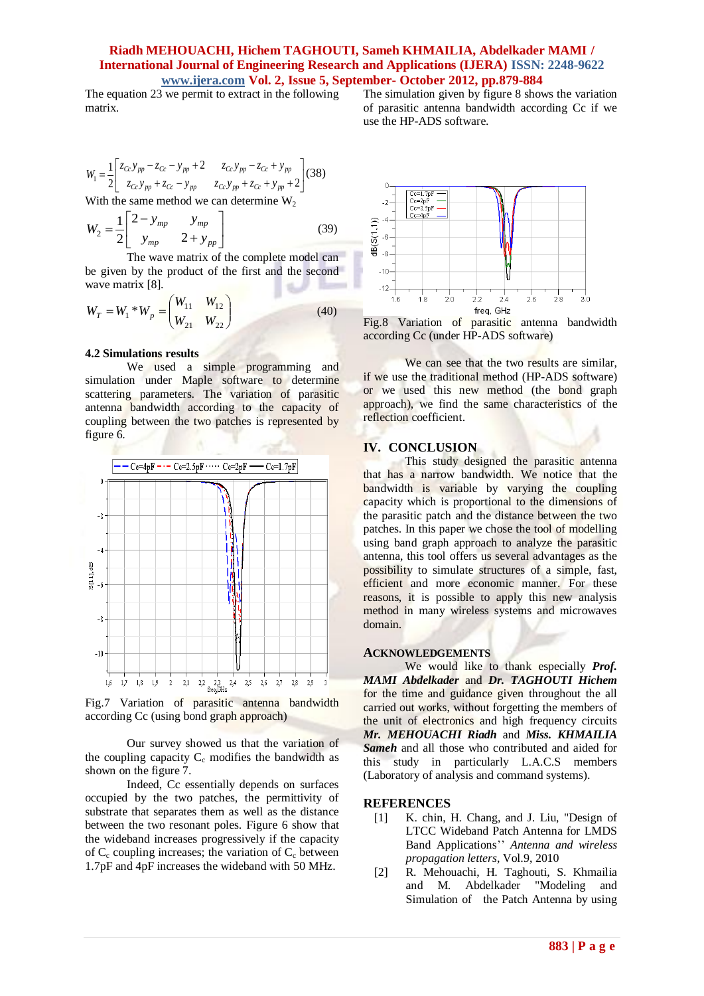The equation  $23$  we permit to extract in the following matrix.

 $\overline{\phantom{a}}$ ⅃  $\overline{\phantom{a}}$ L L þ  $+ z_{Cr} - y_{nn}$   $z_{Cr}y_{nn} + z_{Cr} + y_{nn}$  $-z_{Cc} - y_m + 2$   $z_{Cc}y_m - z_{Cc}$  +  $=\frac{2}{2}\begin{bmatrix} a & b & c & c & d \\ z & z & z \end{bmatrix}$   $\frac{a}{z_c} \cdot y_m + z_{c} - y_m$   $\frac{z_c}{z_m} \cdot y_m + z_{c} + y_m + 2$ 2 2 1  $\begin{array}{c|c|c|c} 1 & 2 & z_{Cc}y_{pp} + z_{Cc} - y_{pp} & z_{Cc}y_{pp} + z_{Cc} + y_{pp} \end{array}$  $Cc$  *Pp*  $\sim$   $Cc$  *Pp*  $\sim$   $Cc$  *Pp*  $\sim$   $Cc$  *Pp*  $z_{Cc} y_{m} + z_{Cc} - y_{m}$   $z_{Cc} y_{m} + z_{Cc} + y$  $z_{Cc} y_{m} - z_{Cc} - y_{m} + 2$   $z_{Cc} y_{m} - z_{Cc} + y$  $W_1 = \frac{1}{2} \begin{vmatrix} \frac{\kappa_{Cc} y_{pp}}{\kappa_{Cc} y_{pp}} & \frac{\kappa_{Cc} y_{pp}}{\kappa_{Cc} y_{pp}} & \frac{\kappa_{Cc} y_{pp}}{\kappa_{Cc} y_{pp}} \end{vmatrix}$  (38)

With the same method we can determine  $W_2$ 

$$
W_2 = \frac{1}{2} \begin{bmatrix} 2 - y_{mp} & y_{mp} \\ y_{mp} & 2 + y_{pp} \end{bmatrix}
$$
 (39)

 The wave matrix of the complete model can be given by the product of the first and the second wave matrix [8].

$$
W_T = W_1 * W_p = \begin{pmatrix} W_{11} & W_{12} \\ W_{21} & W_{22} \end{pmatrix}
$$
 (40)

# **4.2 Simulations results**

We used a simple programming and simulation under Maple software to determine scattering parameters. The variation of parasitic antenna bandwidth according to the capacity of coupling between the two patches is represented by figure 6.



Fig.7 Variation of parasitic antenna bandwidth according Cc (using bond graph approach)

Our survey showed us that the variation of the coupling capacity  $C_c$  modifies the bandwidth as shown on the figure 7.

Indeed, Cc essentially depends on surfaces occupied by the two patches, the permittivity of substrate that separates them as well as the distance between the two resonant poles. Figure 6 show that the wideband increases progressively if the capacity of  $C_c$  coupling increases; the variation of  $C_c$  between 1.7pF and 4pF increases the wideband with 50 MHz.



The simulation given by figure 8 shows the variation of parasitic antenna bandwidth according Cc if we

use the HP-ADS software.

Fig.8 Variation of parasitic antenna bandwidth according Cc (under HP-ADS software)

We can see that the two results are similar, if we use the traditional method (HP-ADS software) or we used this new method (the bond graph approach), we find the same characteristics of the reflection coefficient.

### **IV. CONCLUSION**

This study designed the parasitic antenna that has a narrow bandwidth. We notice that the bandwidth is variable by varying the coupling capacity which is proportional to the dimensions of the parasitic patch and the distance between the two patches. In this paper we chose the tool of modelling using band graph approach to analyze the parasitic antenna, this tool offers us several advantages as the possibility to simulate structures of a simple, fast, efficient and more economic manner. For these reasons, it is possible to apply this new analysis method in many wireless systems and microwaves domain.

## **ACKNOWLEDGEMENTS**

We would like to thank especially *Prof. MAMI Abdelkader* and *Dr. TAGHOUTI Hichem*  for the time and guidance given throughout the all carried out works, without forgetting the members of the unit of electronics and high frequency circuits *Mr. MEHOUACHI Riadh* and *Miss. KHMAILIA Sameh* and all those who contributed and aided for this study in particularly L.A.C.S members (Laboratory of analysis and command systems).

#### **REFERENCES**

- [1] K. chin, H. Chang, and J. Liu, "Design of LTCC Wideband Patch Antenna for LMDS Band Applications'' *Antenna and wireless propagation letters*, Vol.9, 2010
- [2] R. Mehouachi, H. Taghouti, S. Khmailia and M. Abdelkader "Modeling and Simulation of the Patch Antenna by using